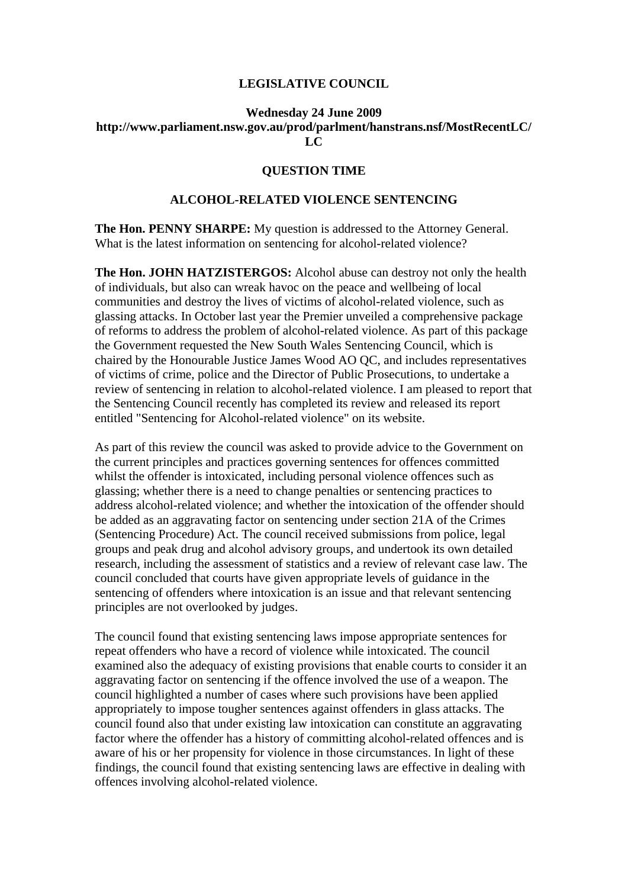## **LEGISLATIVE COUNCIL**

## **Wednesday 24 June 2009 http://www.parliament.nsw.gov.au/prod/parlment/hanstrans.nsf/MostRecentLC/ LC**

## **QUESTION TIME**

## **ALCOHOL-RELATED VIOLENCE SENTENCING**

**The Hon. PENNY SHARPE:** My question is addressed to the Attorney General. What is the latest information on sentencing for alcohol-related violence?

**The Hon. JOHN HATZISTERGOS:** Alcohol abuse can destroy not only the health of individuals, but also can wreak havoc on the peace and wellbeing of local communities and destroy the lives of victims of alcohol-related violence, such as glassing attacks. In October last year the Premier unveiled a comprehensive package of reforms to address the problem of alcohol-related violence. As part of this package the Government requested the New South Wales Sentencing Council, which is chaired by the Honourable Justice James Wood AO QC, and includes representatives of victims of crime, police and the Director of Public Prosecutions, to undertake a review of sentencing in relation to alcohol-related violence. I am pleased to report that the Sentencing Council recently has completed its review and released its report entitled "Sentencing for Alcohol-related violence" on its website.

As part of this review the council was asked to provide advice to the Government on the current principles and practices governing sentences for offences committed whilst the offender is intoxicated, including personal violence offences such as glassing; whether there is a need to change penalties or sentencing practices to address alcohol-related violence; and whether the intoxication of the offender should be added as an aggravating factor on sentencing under section 21A of the Crimes (Sentencing Procedure) Act. The council received submissions from police, legal groups and peak drug and alcohol advisory groups, and undertook its own detailed research, including the assessment of statistics and a review of relevant case law. The council concluded that courts have given appropriate levels of guidance in the sentencing of offenders where intoxication is an issue and that relevant sentencing principles are not overlooked by judges.

The council found that existing sentencing laws impose appropriate sentences for repeat offenders who have a record of violence while intoxicated. The council examined also the adequacy of existing provisions that enable courts to consider it an aggravating factor on sentencing if the offence involved the use of a weapon. The council highlighted a number of cases where such provisions have been applied appropriately to impose tougher sentences against offenders in glass attacks. The council found also that under existing law intoxication can constitute an aggravating factor where the offender has a history of committing alcohol-related offences and is aware of his or her propensity for violence in those circumstances. In light of these findings, the council found that existing sentencing laws are effective in dealing with offences involving alcohol-related violence.